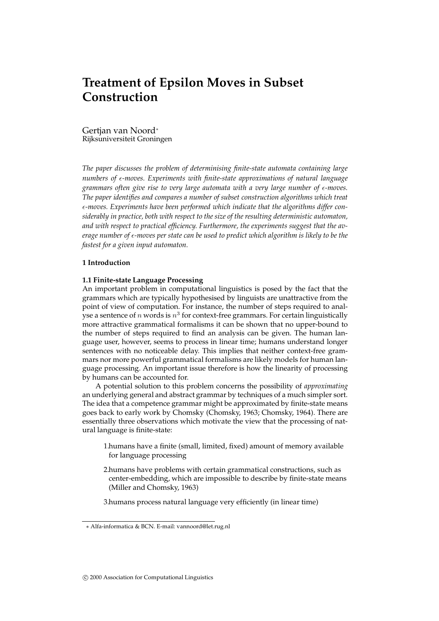# **Treatment of Epsilon Moves in Subset Construction**

Gertjan van Noord ∗ Rijksuniversiteit Groningen

*The paper discusses the problem of determinising finite-state automata containing large numbers of -moves. Experiments with finite-state approximations of natural language grammars often give rise to very large automata with a very large number of -moves. The paper identifies and compares a number of subset construction algorithms which treat -moves. Experiments have been performed which indicate that the algorithms differ considerably in practice, both with respect to the size of the resulting deterministic automaton, and with respect to practical efficiency. Furthermore, the experiments suggest that the average number of -moves per state can be used to predict which algorithm is likely to be the fastest for a given input automaton.*

# **1 Introduction**

# **1.1 Finite-state Language Processing**

An important problem in computational linguistics is posed by the fact that the grammars which are typically hypothesised by linguists are unattractive from the point of view of computation. For instance, the number of steps required to analyse a sentence of n words is  $n^3$  for context-free grammars. For certain linguistically more attractive grammatical formalisms it can be shown that no upper-bound to the number of steps required to find an analysis can be given. The human language user, however, seems to process in linear time; humans understand longer sentences with no noticeable delay. This implies that neither context-free grammars nor more powerful grammatical formalisms are likely models for human language processing. An important issue therefore is how the linearity of processing by humans can be accounted for.

A potential solution to this problem concerns the possibility of *approximating* an underlying general and abstract grammar by techniques of a much simpler sort. The idea that a competence grammar might be approximated by finite-state means goes back to early work by Chomsky (Chomsky, 1963; Chomsky, 1964). There are essentially three observations which motivate the view that the processing of natural language is finite-state:

- 1.humans have a finite (small, limited, fixed) amount of memory available for language processing
- 2.humans have problems with certain grammatical constructions, such as center-embedding, which are impossible to describe by finite-state means (Miller and Chomsky, 1963)
- 3.humans process natural language very efficiently (in linear time)

<sup>∗</sup> Alfa-informatica & BCN. E-mail: vannoord@let.rug.nl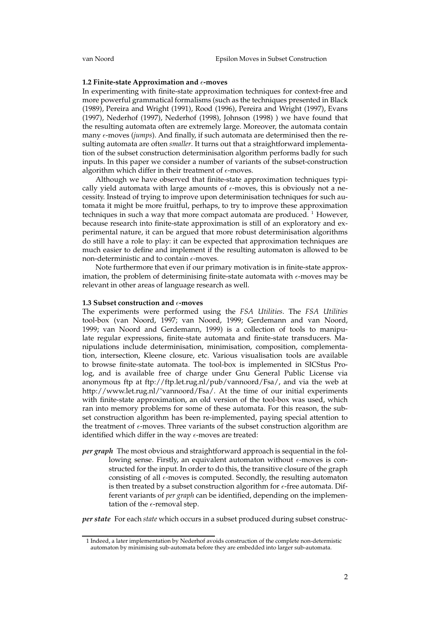#### **1.2** Finite-state Approximation and  $\epsilon$ -moves

In experimenting with finite-state approximation techniques for context-free and more powerful grammatical formalisms (such as the techniques presented in Black (1989), Pereira and Wright (1991), Rood (1996), Pereira and Wright (1997), Evans (1997), Nederhof (1997), Nederhof (1998), Johnson (1998) ) we have found that the resulting automata often are extremely large. Moreover, the automata contain many  $\epsilon$ -moves (*jumps*). And finally, if such automata are determinised then the resulting automata are often *smaller*. It turns out that a straightforward implementation of the subset construction determinisation algorithm performs badly for such inputs. In this paper we consider a number of variants of the subset-construction algorithm which differ in their treatment of  $\epsilon$ -moves.

Although we have observed that finite-state approximation techniques typically yield automata with large amounts of  $\epsilon$ -moves, this is obviously not a necessity. Instead of trying to improve upon determinisation techniques for such automata it might be more fruitful, perhaps, to try to improve these approximation techniques in such a way that more compact automata are produced.  $<sup>1</sup>$  However,</sup> because research into finite-state approximation is still of an exploratory and experimental nature, it can be argued that more robust determinisation algorithms do still have a role to play: it can be expected that approximation techniques are much easier to define and implement if the resulting automaton is allowed to be non-deterministic and to contain  $\epsilon$ -moves.

Note furthermore that even if our primary motivation is in finite-state approximation, the problem of determinising finite-state automata with  $\epsilon$ -moves may be relevant in other areas of language research as well.

# **1.3 Subset construction and -moves**

The experiments were performed using the *FSA Utilities*. The *FSA Utilities* tool-box (van Noord, 1997; van Noord, 1999; Gerdemann and van Noord, 1999; van Noord and Gerdemann, 1999) is a collection of tools to manipulate regular expressions, finite-state automata and finite-state transducers. Manipulations include determinisation, minimisation, composition, complementation, intersection, Kleene closure, etc. Various visualisation tools are available to browse finite-state automata. The tool-box is implemented in SICStus Prolog, and is available free of charge under Gnu General Public License via anonymous ftp at ftp://ftp.let.rug.nl/pub/vannoord/Fsa/, and via the web at http://www.let.rug.nl/~vannoord/Fsa/. At the time of our initial experiments with finite-state approximation, an old version of the tool-box was used, which ran into memory problems for some of these automata. For this reason, the subset construction algorithm has been re-implemented, paying special attention to the treatment of  $\epsilon$ -moves. Three variants of the subset construction algorithm are identified which differ in the way  $\epsilon$ -moves are treated:

*per graph* The most obvious and straightforward approach is sequential in the following sense. Firstly, an equivalent automaton without  $\epsilon$ -moves is constructed for the input. In order to do this, the transitive closure of the graph consisting of all  $\epsilon$ -moves is computed. Secondly, the resulting automaton is then treated by a subset construction algorithm for  $\epsilon$ -free automata. Different variants of *per graph* can be identified, depending on the implementation of the  $\epsilon$ -removal step.

*per state* For each *state* which occurs in a subset produced during subset construc-

<sup>1</sup> Indeed, a later implementation by Nederhof avoids construction of the complete non-determistic automaton by minimising sub-automata before they are embedded into larger sub-automata.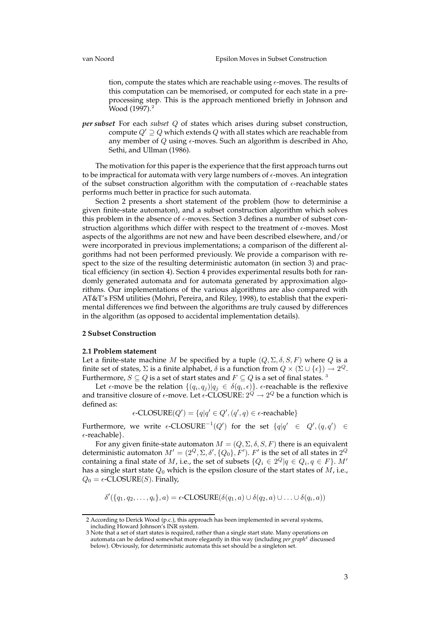tion, compute the states which are reachable using  $\epsilon$ -moves. The results of this computation can be memorised, or computed for each state in a preprocessing step. This is the approach mentioned briefly in Johnson and Wood (1997).<sup>2</sup>

*per subset* For each *subset* Q of states which arises during subset construction, compute  $Q' \supseteq Q$  which extends  $Q$  with all states which are reachable from any member of  $Q$  using  $\epsilon$ -moves. Such an algorithm is described in Aho, Sethi, and Ullman (1986).

The motivation for this paper is the experience that the first approach turns out to be impractical for automata with very large numbers of  $\epsilon$ -moves. An integration of the subset construction algorithm with the computation of  $\epsilon$ -reachable states performs much better in practice for such automata.

Section 2 presents a short statement of the problem (how to determinise a given finite-state automaton), and a subset construction algorithm which solves this problem in the absence of  $\epsilon$ -moves. Section 3 defines a number of subset construction algorithms which differ with respect to the treatment of  $\epsilon$ -moves. Most aspects of the algorithms are not new and have been described elsewhere, and/or were incorporated in previous implementations; a comparison of the different algorithms had not been performed previously. We provide a comparison with respect to the size of the resulting deterministic automaton (in section 3) and practical efficiency (in section 4). Section 4 provides experimental results both for randomly generated automata and for automata generated by approximation algorithms. Our implementations of the various algorithms are also compared with AT&T's FSM utilities (Mohri, Pereira, and Riley, 1998), to establish that the experimental differences we find between the algorithms are truly caused by differences in the algorithm (as opposed to accidental implementation details).

# **2 Subset Construction**

#### **2.1 Problem statement**

Let a finite-state machine M be specified by a tuple  $(Q, \Sigma, \delta, S, F)$  where Q is a finite set of states,  $\Sigma$  is a finite alphabet,  $\delta$  is a function from  $Q \times (\Sigma \cup \{\epsilon\}) \to 2^Q$ . Furthermore,  $S \subseteq Q$  is a set of start states and  $F \subseteq Q$  is a set of final states.  $^3$ 

Let  $\epsilon$ -move be the relation  $\{(q_i, q_j) | q_j \in \delta(q_i, \epsilon)\}$ .  $\epsilon$ -reachable is the reflexive and transitive closure of  $\epsilon$ -move. Let  $\epsilon$ -CLOSURE:  $2^{Q} \rightarrow 2^{Q}$  be a function which is defined as:

$$
\epsilon\text{-CLOSURE}(Q') = \{q|q' \in Q', (q', q) \in \epsilon\text{-reachable}\}
$$

Furthermore, we write  $\epsilon$ -CLOSURE<sup>-1</sup>(Q') for the set  $\{q|q' \in Q', (q, q') \in Q' \}$  $\epsilon$ -reachable}.

For any given finite-state automaton  $M = (Q, \Sigma, \delta, S, F)$  there is an equivalent deterministic automaton  $M' = (2^Q, \Sigma, \delta', \{Q_0\}, F')$ .  $F'$  is the set of all states in  $2^Q$ containing a final state of  $M$ , i.e., the set of subsets  $\{Q_i \in 2^Q | q \in Q_i, q \in F\}$ .  $M'$ has a single start state  $Q_0$  which is the epsilon closure of the start states of  $M$ , i.e.,  $Q_0 = \epsilon$ -CLOSURE(S). Finally,

 $\delta'(\lbrace q_1, q_2, \ldots, q_i \rbrace, a) = \epsilon$ -CLOSURE $(\delta(q_1, a) \cup \delta(q_2, a) \cup \ldots \cup \delta(q_i, a))$ 

<sup>2</sup> According to Derick Wood (p.c.), this approach has been implemented in several systems, including Howard Johnson's INR system.

<sup>3</sup> Note that a set of start states is required, rather than a single start state. Many operations on automata can be defined somewhat more elegantly in this way (including *per graph*<sup>t</sup> discussed below). Obviously, for deterministic automata this set should be a singleton set.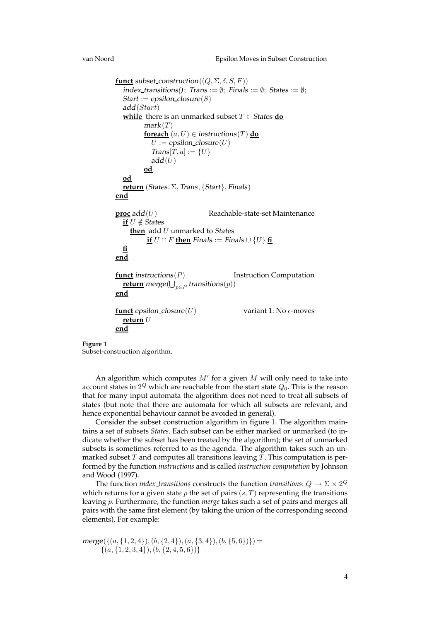```
funct subset_construction((Q, \Sigma, \delta, S, F))
  index_transitions(); Trans := \emptyset; Finals := \emptyset; States := \emptyset;
  Start := epsilon\_closure(S)add(Start)
  <u>while</u> there is an unmarked subset T \in States do
         mark(T)foreach (a, U) \in instructions(T) do
            U := epsilon_closure(U)
            Trans[T, a] := \{U\}add(U)od
  od
  return (States, Σ, Trans, {Start}, Finals)
end
proc add(U) Reachable-state-set Maintenance
  if U \notin States
    then add U unmarked to States
          <u>if</u> U \cap F then Finals := Finals ∪ \{U\} fi
  fi
end
funct instructions(P) Instruction Computation
   \overline{\textbf{return}} merge(\bigcup_{p \in P} \textbf{ transitions}(p))end
funct epsilon_closure(U) variant 1: No \epsilon-moves
  return U
end
```
Subset-construction algorithm.

An algorithm which computes  $M'$  for a given  $M$  will only need to take into account states in  $2^Q$  which are reachable from the start state  $Q_0.$  This is the reason that for many input automata the algorithm does not need to treat all subsets of states (but note that there are automata for which all subsets are relevant, and hence exponential behaviour cannot be avoided in general).

Consider the subset construction algorithm in figure 1. The algorithm maintains a set of subsets *States*. Each subset can be either marked or unmarked (to indicate whether the subset has been treated by the algorithm); the set of unmarked subsets is sometimes referred to as the agenda. The algorithm takes such an unmarked subset  $T$  and computes all transitions leaving  $T$ . This computation is performed by the function *instructions* and is called *instruction computation* by Johnson and Wood (1997).

The function *index\_transitions* constructs the function *transitions*:  $Q \to \Sigma \times 2^Q$ which returns for a given state  $p$  the set of pairs  $(s, T)$  representing the transitions leaving p. Furthermore, the function *merge* takes such a set of pairs and merges all pairs with the same first element (by taking the union of the corresponding second elements). For example:

 $merge({ (a, {1, 2, 4}), (b, {2, 4}), (a, {3, 4}), (b, {5, 6})}) =$  $\{(a, \{1, 2, 3, 4\}), (b, \{2, 4, 5, 6\})\}$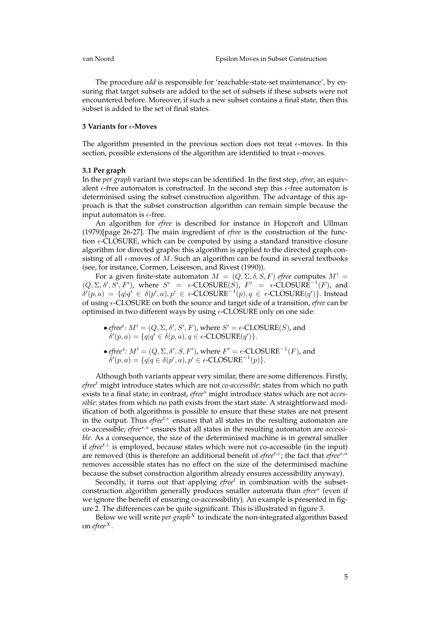The procedure *add* is responsible for 'reachable-state-set maintenance', by ensuring that target subsets are added to the set of subsets if these subsets were not encountered before. Moreover, if such a new subset contains a final state, then this subset is added to the set of final states.

# **3 Variants for -Moves**

The algorithm presented in the previous section does not treat  $\epsilon$ -moves. In this section, possible extensions of the algorithm are identified to treat  $\epsilon$ -moves.

#### **3.1 Per graph**

In the *per graph* variant two steps can be identified. In the first step, *efree*, an equivalent  $\epsilon$ -free automaton is constructed. In the second step this  $\epsilon$ -free automaton is determinised using the subset construction algorithm. The advantage of this approach is that the subset construction algorithm can remain simple because the input automaton is  $\epsilon$ -free.

An algorithm for *efree* is described for instance in Hopcroft and Ullman (1979)[page 26-27]. The main ingredient of *efree* is the construction of the function  $\epsilon$ -CLOSURE, which can be computed by using a standard transitive closure algorithm for directed graphs: this algorithm is applied to the directed graph consisting of all  $\epsilon$ -moves of M. Such an algorithm can be found in several textbooks (see, for instance, Cormen, Leiserson, and Rivest (1990)).

For a given finite-state automaton  $M = (Q, \Sigma, \delta, S, F)$  *efree* computes  $M' =$  $(Q, \Sigma, \delta', S', F')$ , where  $S' = \epsilon$ -CLOSURE $(S)$ ,  $F' = \epsilon$ -CLOSURE<sup>-1</sup> $(F)$ , and  $\delta'(p, a) = \{q | q' \in \delta(p', a), p' \in \epsilon\text{-CLOSURE}^{-1}(p), q \in \epsilon\text{-CLOSURE}(q')\}.$  Instead of using -CLOSURE on both the source and target side of a transition, *efree* can be optimised in two different ways by using  $\epsilon$ -CLOSURE only on one side:

- *efree<sup>t</sup>*:  $M' = (Q, \Sigma, \delta', S', F)$ , where  $S' = \epsilon$ -CLOSURE(S), and  $\delta'(p, a) = \{q | q' \in \delta(p, a), q \in \epsilon\text{-CLOSURE}(q')\}.$
- *efree<sup>s</sup>*:  $M' = (Q, \Sigma, \delta', S, F')$ , where  $F' = \epsilon$ -CLOSURE<sup>-1</sup>(*F*), and  $\delta'(p, a) = \{q | q \in \delta(p', a), p' \in \epsilon\text{-CLOSURE}^{-1}(p)\}.$

Although both variants appear very similar, there are some differences. Firstly, *efree*<sup>t</sup> might introduce states which are not *co-accessible*: states from which no path exists to a final state; in contrast, *efree*<sup>s</sup> might introduce states which are not *accessible*: states from which no path exists from the start state. A straightforward modification of both algorithms is possible to ensure that these states are not present in the output. Thus *efree<sup>t,c</sup>* ensures that all states in the resulting automaton are co-accessible; *efree*<sup>s, *a*</sup> ensures that all states in the resulting automaton are *accessible*. As a consequence, the size of the determinised machine is in general smaller if *efree*<sup>t,c</sup> is employed, because states which were not co-accessible (in the input) are removed (this is therefore an additional benefit of *efree*<sup>t,c</sup>; the fact that *efree*<sup>s,a</sup> removes accessible states has no effect on the size of the determinised machine because the subset construction algorithm already ensures accessibility anyway).

Secondly, it turns out that applying *efree*<sup>t</sup> in combination with the subsetconstruction algorithm generally produces smaller automata than *efree*<sup>s</sup> (even if we ignore the benefit of ensuring co-accessibility). An example is presented in figure 2. The differences can be quite significant. This is illustrated in figure 3.

Below we will write *per*  $\frac{1}{2}$  *graph<sup>X</sup>* to indicate the non-integrated algorithm based on *efree*<sup>X</sup> .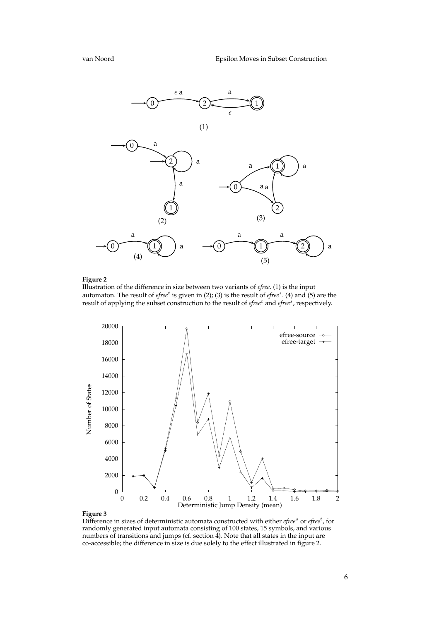

Illustration of the difference in size between two variants of *efree*. (1) is the input automaton. The result of *efree<sup>t</sup>* is given in (2); (3) is the result of *efree<sup>s</sup>*. (4) and (5) are the result of applying the subset construction to the result of *efree<sup>t</sup>* and *efree<sup>s</sup>*, respectively.



Difference in sizes of deterministic automata constructed with either *efree<sup>s</sup>* or *efree<sup>t</sup>*, for randomly generated input automata consisting of 100 states, 15 symbols, and various numbers of transitions and jumps (cf. section 4). Note that all states in the input are co-accessible; the difference in size is due solely to the effect illustrated in figure 2.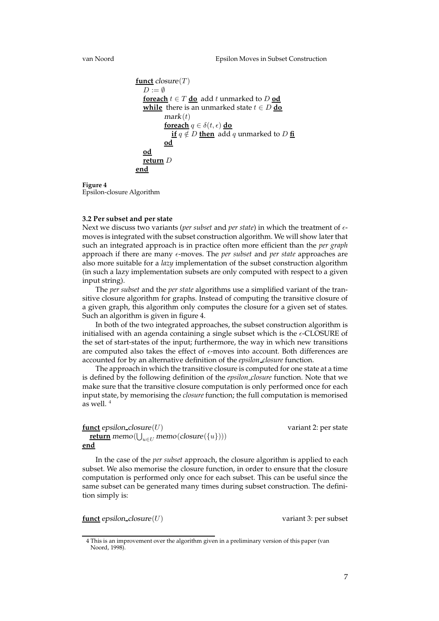```
funct closure(T)D := \emptysetforeach t \in T do add t unmarked to D od
  while there is an unmarked state t \in D do
         mark(t)foreach q \in \delta(t, \epsilon) do
            if q \notin D then add q unmarked to D fi
         od
  od
  return D
end
```
**Figure 4** Epsilon-closure Algorithm

## **3.2 Per subset and per state**

Next we discuss two variants (*per subset* and *per state*) in which the treatment of  $\epsilon$ moves is integrated with the subset construction algorithm. We will show laterthat such an integrated approach is in practice often more efficient than the *per graph* approach if there are many  $\epsilon$ -moves. The *per subset* and *per state* approaches are also more suitable for a *lazy* implementation of the subset construction algorithm (in such a lazy implementation subsets are only computed with respect to a given input string).

The *per subset* and the *per state* algorithms use a simplified variant of the transitive closure algorithm for graphs. Instead of computing the transitive closure of a given graph, this algorithm only computes the closure for a given set of states. Such an algorithm is given in figure 4.

In both of the two integrated approaches, the subset construction algorithm is initialised with an agenda containing a single subset which is the  $\epsilon$ -CLOSURE of the set of start-states of the input; furthermore, the way in which new transitions are computed also takes the effect of  $\epsilon$ -moves into account. Both differences are accounted for by an alternative definition of the *epsilon closure* function.

The approach in which the transitive closure is computed for one state at a time is defined by the following definition of the *epsilon closure* function. Note that we make sure that the transitive closure computation is only performed once for each input state, by memorising the *closure* function; the full computation is memorised as well. <sup>4</sup>

# **funct** epsilon\_closure(U) variant 2: per state  $\textbf{return} \, \text{memo}(\bigcup_{u \in U} \text{memo}(\text{closure}(\{u\})))$ **end**

In the case of the *per subset* approach, the closure algorithm is applied to each subset. We also memorise the closure function, in order to ensure that the closure computation is performed only once for each subset. This can be useful since the same subset can be generated many times during subset construction. The definition simply is:

**funct** epsilon\_closure(U) variant 3: per subset

<sup>4</sup> This is an improvement over the algorithm given in a preliminary version of this paper (van Noord, 1998).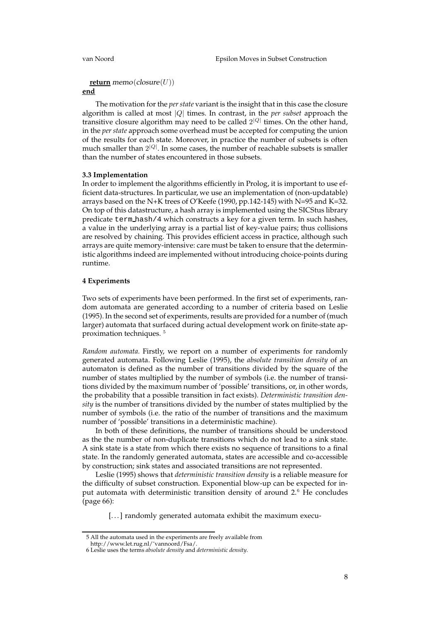# **return** memo( $\text{closure}(U)$ )

# **end**

The motivation for the *per state* variant is the insight that in this case the closure algorithm is called at most |Q| times. In contrast, in the *per subset* approach the transitive closure algorithm may need to be called  $2^{|Q|}$  times. On the other hand, in the *per state* approach some overhead must be accepted for computing the union of the results for each state. Moreover, in practice the number of subsets is often much smaller than  $2^{|Q|}$ . In some cases, the number of reachable subsets is smaller than the number of states encountered in those subsets.

## **3.3 Implementation**

In order to implement the algorithms efficiently in Prolog, it is important to use efficient data-structures. In particular, we use an implementation of (non-updatable) arrays based on the N+K trees of O'Keefe (1990, pp.142-145) with N=95 and K=32. On top of this datastructure, a hash array is implemented using the SICStus library predicate term hash/4 which constructs a key for a given term. In such hashes, a value in the underlying array is a partial list of key-value pairs; thus collisions are resolved by chaining. This provides efficient access in practice, although such arrays are quite memory-intensive: care must be taken to ensure that the deterministic algorithms indeed are implemented without introducing choice-points during runtime.

# **4 Experiments**

Two sets of experiments have been performed. In the first set of experiments, random automata are generated according to a number of criteria based on Leslie (1995). In the second set of experiments, results are provided for a number of (much larger) automata that surfaced during actual development work on finite-state approximation techniques. <sup>5</sup>

*Random automata.* Firstly, we report on a number of experiments for randomly generated automata. Following Leslie (1995), the *absolute transition density* of an automaton is defined as the number of transitions divided by the square of the number of states multiplied by the number of symbols (i.e. the number of transitions divided by the maximum number of 'possible' transitions, or, in other words, the probability that a possible transition in fact exists). *Deterministic transition density* is the number of transitions divided by the number of states multiplied by the number of symbols (i.e. the ratio of the number of transitions and the maximum number of 'possible' transitions in a deterministic machine).

In both of these definitions, the number of transitions should be understood as the the number of non-duplicate transitions which do not lead to a sink state. A sink state is a state from which there exists no sequence of transitions to a final state. In the randomly generated automata, states are accessible and co-accessible by construction; sink states and associated transitions are not represented.

Leslie (1995) shows that *deterministic transition density* is a reliable measure for the difficulty of subset construction. Exponential blow-up can be expected for input automata with deterministic transition density of around 2.<sup>6</sup> He concludes (page 66):

[...] randomly generated automata exhibit the maximum execu-

<sup>5</sup> All the automata used in the experiments are freely available from

http://www.let.rug.nl/˜vannoord/Fsa/.

<sup>6</sup> Leslie uses the terms *absolute density* and *deterministic density*.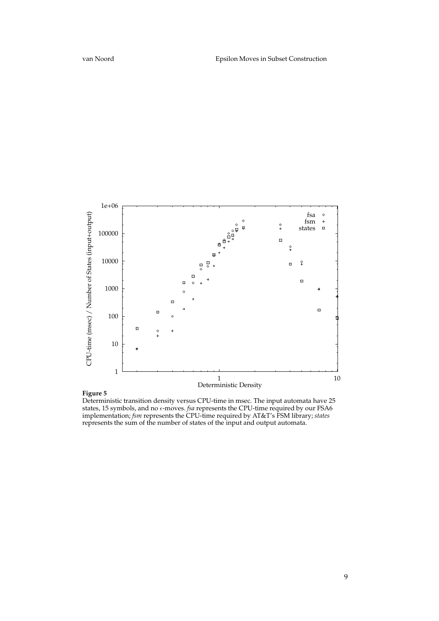

Deterministic transition density versus CPU-time in msec. The input automata have 25 states, 15 symbols, and no  $\epsilon$ -moves. *fsa* represents the CPU-time required by our FSA6 implementation; *fsm* represents the CPU-time required by AT&T's FSM library; *states* represents the sum of the number of states of the input and output automata.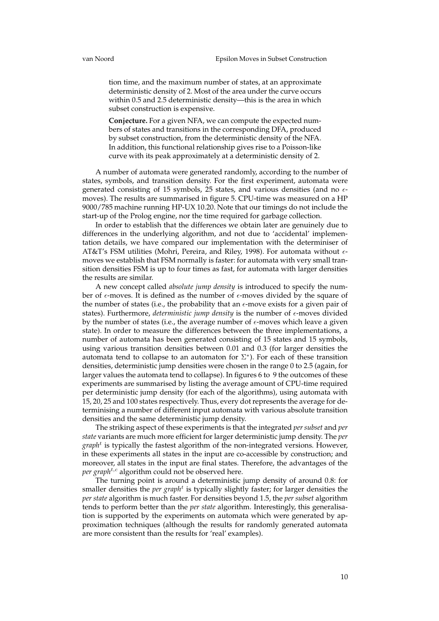tion time, and the maximum number of states, at an approximate deterministic density of 2. Most of the area under the curve occurs within 0.5 and 2.5 deterministic density—this is the area in which subset construction is expensive.

**Conjecture.** For a given NFA, we can compute the expected numbers of states and transitions in the corresponding DFA, produced by subset construction, from the deterministic density of the NFA. In addition, this functional relationship gives rise to a Poisson-like curve with its peak approximately at a deterministic density of 2.

A number of automata were generated randomly, according to the number of states, symbols, and transition density. For the first experiment, automata were generated consisting of 15 symbols, 25 states, and various densities (and no  $\epsilon$ moves). The results are summarised in figure 5. CPU-time was measured on a HP 9000/785 machine running HP-UX 10.20. Note that our timings do not include the start-up of the Prolog engine, nor the time required for garbage collection.

In order to establish that the differences we obtain later are genuinely due to differences in the underlying algorithm, and not due to 'accidental' implementation details, we have compared our implementation with the determiniser of AT&T's FSM utilities (Mohri, Pereira, and Riley, 1998). For automata without  $\epsilon$ moves we establish that FSM normally is faster: for automata with very small transition densities FSM is up to four times as fast, for automata with larger densities the results are similar.

A new concept called *absolute jump density* is introduced to specify the number of  $\epsilon$ -moves. It is defined as the number of  $\epsilon$ -moves divided by the square of the number of states (i.e., the probability that an  $\epsilon$ -move exists for a given pair of states). Furthermore, *deterministic jump density* is the number of  $\epsilon$ -moves divided by the number of states (i.e., the average number of  $\epsilon$ -moves which leave a given state). In order to measure the differences between the three implementations, a number of automata has been generated consisting of 15 states and 15 symbols, using various transition densities between 0.01 and 0.3 (for larger densities the automata tend to collapse to an automaton for  $\Sigma^*$ ). For each of these transition densities, deterministic jump densities were chosen in the range 0 to 2.5 (again, for larger values the automata tend to collapse). In figures 6 to 9 the outcomes of these experiments are summarised by listing the average amount of CPU-time required per deterministic jump density (for each of the algorithms), using automata with 15, 20, 25 and 100 states respectively. Thus, every dot represents the average for determinising a number of different input automata with various absolute transition densities and the same deterministic jump density.

The striking aspect of these experiments is that the integrated *per subset* and *per state* variants are much more efficient for larger deterministic jump density. The *per graph*<sup>t</sup> is typically the fastest algorithm of the non-integrated versions. However, in these experiments all states in the input are co-accessible by construction; and moreover, all states in the input are final states. Therefore, the advantages of the *per graph<sup>t,c</sup>* algorithm could not be observed here.

The turning point is around a deterministic jump density of around 0.8: for smaller densities the *per graph<sup>t</sup>* is typically slightly faster; for larger densities the *per state* algorithm is much faster. For densities beyond 1.5, the *per subset* algorithm tends to perform better than the *per state* algorithm. Interestingly, this generalisation is supported by the experiments on automata which were generated by approximation techniques (although the results for randomly generated automata are more consistent than the results for 'real' examples).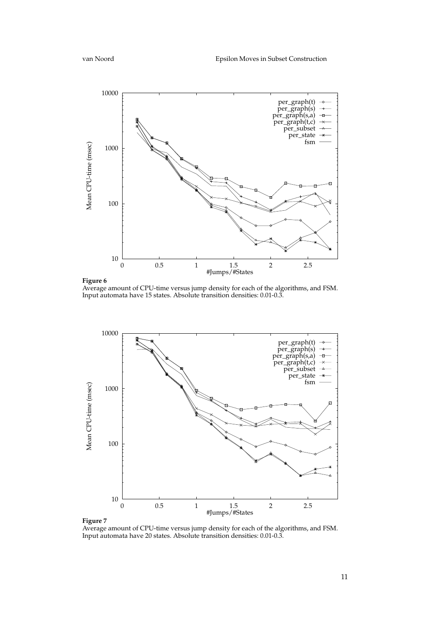

Average amount of CPU-time versus jump density for each of the algorithms, and FSM. Input automata have 15 states. Absolute transition densities: 0.01-0.3.



Average amount of CPU-time versus jump density for each of the algorithms, and FSM. Input automata have 20 states. Absolute transition densities: 0.01-0.3.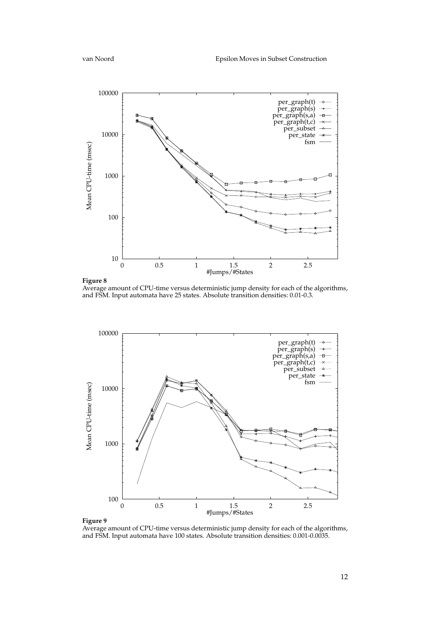

**Figure 8**

Average amount of CPU-time versus deterministic jump density for each of the algorithms, and FSM. Input automata have 25 states. Absolute transition densities: 0.01-0.3.



Average amount of CPU-time versus deterministic jump density for each of the algorithms, and FSM. Input automata have 100 states. Absolute transition densities: 0.001-0.0035.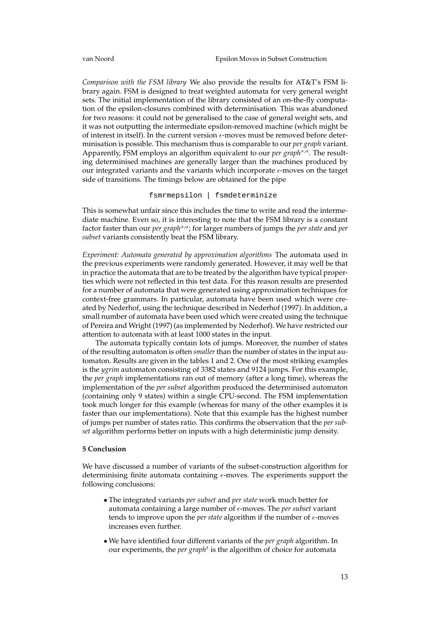*Comparison with the FSM library* We also provide the results for AT&T's FSM library again. FSM is designed to treat weighted automata for very general weight sets. The initial implementation of the library consisted of an on-the-fly computation of the epsilon-closures combined with determinisation. This was abandoned for two reasons: it could not be generalised to the case of general weight sets, and it was not outputting the intermediate epsilon-removed machine (which might be of interest in itself). In the current version  $\epsilon$ -moves must be removed before determinisation is possible. This mechanism thus is comparable to our *per graph* variant. Apparently, FSM employs an algorithm equivalent to our *per graph<sup>s,a</sup>*. The resulting determinised machines are generally larger than the machines produced by our integrated variants and the variants which incorporate  $\epsilon$ -moves on the target side of transitions. The timings below are obtained for the pipe

fsmrmepsilon | fsmdeterminize

This is somewhat unfair since this includes the time to write and read the intermediate machine. Even so, it is interesting to note that the FSM library is a constant factor faster than our *per graph*s,a; for larger numbers of jumps the *per state* and *per subset* variants consistently beat the FSM library.

*Experiment: Automata generated by approximation algorithms* The automata used in the previous experiments were randomly generated. However, it may well be that in practice the automata that are to be treated by the algorithm have typical properties which were not reflected in this test data. For this reason results are presented for a number of automata that were generated using approximation techniques for context-free grammars. In particular, automata have been used which were created by Nederhof, using the technique described in Nederhof (1997). In addition, a small number of automata have been used which were created using the technique of Pereira and Wright (1997) (as implemented by Nederhof). We have restricted our attention to automata with at least 1000 states in the input.

The automata typically contain lots of jumps. Moreover, the number of states of the resulting automaton is often *smaller* than the number of states in the input automaton. Results are given in the tables 1 and 2. One of the most striking examples is the *ygrim* automaton consisting of 3382 states and 9124 jumps. For this example, the *per graph* implementations ran out of memory (after a long time), whereas the implementation of the *per subset* algorithm produced the determinised automaton (containing only 9 states) within a single CPU-second. The FSM implementation took much longer for this example (whereas for many of the other examples it is faster than our implementations). Note that this example has the highest number of jumps per number of states ratio. This confirms the observation that the *per subset* algorithm performs better on inputs with a high deterministic jump density.

### **5 Conclusion**

We have discussed a number of variants of the subset-construction algorithm for determinising finite automata containing  $\epsilon$ -moves. The experiments support the following conclusions:

- The integrated variants *per subset* and *per state* work much better for automata containing a large number of  $\epsilon$ -moves. The *per subset* variant tends to improve upon the *per state* algorithm if the number of  $\epsilon$ -moves increases even further.
- We have identified four different variants of the *per graph* algorithm. In our experiments, the *per graph<sup>t</sup>* is the algorithm of choice for automata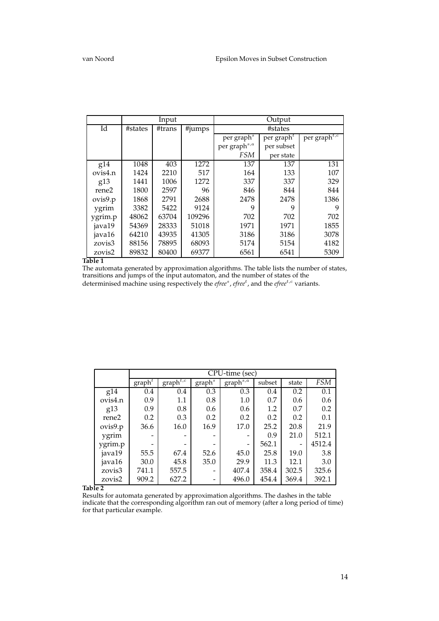|             |         | Input  |        | Output                   |                                     |                                       |  |  |
|-------------|---------|--------|--------|--------------------------|-------------------------------------|---------------------------------------|--|--|
| Id          | #states | #trans | #jumps | #states                  |                                     |                                       |  |  |
|             |         |        |        | per graph <sup>s</sup>   | per graph <sup><math>t</math></sup> | per graph <sup><math>t,c</math></sup> |  |  |
|             |         |        |        | per graph <sup>s,a</sup> | per subset                          |                                       |  |  |
|             |         |        |        | <b>FSM</b>               | per state                           |                                       |  |  |
| g14         | 1048    | 403    | 1272   | 137                      | 137                                 | 131                                   |  |  |
| ovis4.n     | 1424    | 2210   | 517    | 164                      | 133                                 | 107                                   |  |  |
| g13         | 1441    | 1006   | 1272   | 337                      | 337                                 | 329                                   |  |  |
| rene2       | 1800    | 2597   | 96     | 846                      | 844                                 | 844                                   |  |  |
| ovis9.p     | 1868    | 2791   | 2688   | 2478                     | 2478                                | 1386                                  |  |  |
| ygrim       | 3382    | 5422   | 9124   | 9                        | 9                                   | 9                                     |  |  |
| ygrim.p     | 48062   | 63704  | 109296 | 702                      | 702                                 | 702                                   |  |  |
| java19      | 54369   | 28333  | 51018  | 1971                     | 1971                                | 1855                                  |  |  |
| java16      | 64210   | 43935  | 41305  | 3186                     | 3186                                | 3078                                  |  |  |
| zovis3      | 88156   | 78895  | 68093  | 5174                     | 5154                                | 4182                                  |  |  |
| zovis2<br>. | 89832   | 80400  | 69377  | 6561                     | 6541                                | 5309                                  |  |  |

**Table 1**

The automata generated by approximation algorithms. The table lists the number of states, transitions and jumps of the input automaton, and the number of states of the determinised machine using respectively the *efree<sup>s</sup>*, *efree<sup>t</sup>*, and the *efree<sup>t, c</sup>* variants.

|         | CPU-time (sec)     |                          |                    |                          |        |       |            |  |  |  |
|---------|--------------------|--------------------------|--------------------|--------------------------|--------|-------|------------|--|--|--|
|         | graph <sup>t</sup> | $graph^{\overline{t,c}}$ | graph <sup>s</sup> | $graph^{\overline{s,a}}$ | subset | state | <b>FSM</b> |  |  |  |
| g14     | 0.4                | 0.4                      | 0.3                | 0.3                      | 0.4    | 0.2   | 0.1        |  |  |  |
| ovis4.n | 0.9                | 1.1                      | 0.8                | 1.0                      | 0.7    | 0.6   | 0.6        |  |  |  |
| g13     | 0.9                | 0.8                      | 0.6                | 0.6                      | 1.2    | 0.7   | 0.2        |  |  |  |
| rene2   | 0.2                | 0.3                      | 0.2                | 0.2                      | 0.2    | 0.2   | 0.1        |  |  |  |
| ovis9.p | 36.6               | 16.0                     | 16.9               | 17.0                     | 25.2   | 20.8  | 21.9       |  |  |  |
| ygrim   |                    |                          |                    |                          | 0.9    | 21.0  | 512.1      |  |  |  |
| ygrim.p |                    |                          |                    |                          | 562.1  |       | 4512.4     |  |  |  |
| java19  | 55.5               | 67.4                     | 52.6               | 45.0                     | 25.8   | 19.0  | 3.8        |  |  |  |
| java16  | 30.0               | 45.8                     | 35.0               | 29.9                     | 11.3   | 12.1  | 3.0        |  |  |  |
| zovis3  | 741.1              | 557.5                    |                    | 407.4                    | 358.4  | 302.5 | 325.6      |  |  |  |
| zovis2  | 909.2              | 627.2                    |                    | 496.0                    | 454.4  | 369.4 | 392.1      |  |  |  |

**Table 2**

Results for automata generated by approximation algorithms. The dashes in the table indicate that the corresponding algorithm ran out of memory (after a long period of time) for that particular example.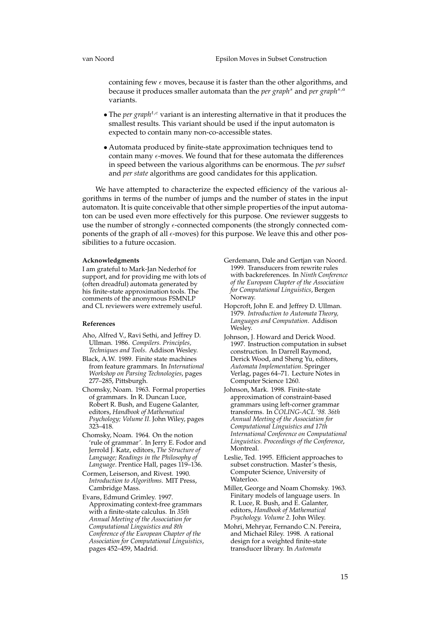containing few  $\epsilon$  moves, because it is faster than the other algorithms, and because it produces smaller automata than the *per graph*<sup>s</sup> and *per graph*s,a variants.

- The *per graph<sup>t,c</sup>* variant is an interesting alternative in that it produces the smallest results. This variant should be used if the input automaton is expected to contain many non-co-accessible states.
- Automata produced by finite-state approximation techniques tend to contain many  $\epsilon$ -moves. We found that for these automata the differences in speed between the various algorithms can be enormous. The *per subset* and *per state* algorithms are good candidates for this application.

We have attempted to characterize the expected efficiency of the various algorithms in terms of the number of jumps and the number of states in the input automaton. It is quite conceivable that other simple properties of the input automaton can be used even more effectively for this purpose. One reviewer suggests to use the number of strongly  $\epsilon$ -connected components (the strongly connected components of the graph of all  $\epsilon$ -moves) for this purpose. We leave this and other possibilities to a future occasion.

#### **Acknowledgments**

I am grateful to Mark-Jan Nederhof for support, and for providing me with lots of (often dreadful) automata generated by his finite-state approximation tools. The comments of the anonymous FSMNLP and CL reviewers were extremely useful.

#### **References**

- Aho, Alfred V., Ravi Sethi, and Jeffrey D. Ullman. 1986. *Compilers. Principles, Techniques and Tools*. Addison Wesley.
- Black, A.W. 1989. Finite state machines from feature grammars. In *International Workshop on Parsing Technologies*, pages 277–285, Pittsburgh.
- Chomsky, Noam. 1963. Formal properties of grammars. In R. Duncan Luce, Robert R. Bush, and Eugene Galanter, editors, *Handbook of Mathematical Psychology; Volume II*. John Wiley, pages 323–418.
- Chomsky, Noam. 1964. On the notion 'rule of grammar'. In Jerry E. Fodor and Jerrold J. Katz, editors, *The Structure of Language; Readings in the Philosophy of Language*. Prentice Hall, pages 119–136.
- Cormen, Leiserson, and Rivest. 1990. *Introduction to Algorithms*. MIT Press, Cambridge Mass.
- Evans, Edmund Grimley. 1997. Approximating context-free grammars with a finite-state calculus. In *35th Annual Meeting of the Association for Computational Linguistics and 8th Conference of the European Chapter of the Association for Computational Linguistics*, pages 452–459, Madrid.
- Gerdemann, Dale and Gertjan van Noord. 1999. Transducers from rewrite rules with backreferences. In *Ninth Conference of the European Chapter of the Association for Computational Linguistics*, Bergen Norway.
- Hopcroft, John E. and Jeffrey D. Ullman. 1979. *Introduction to Automata Theory, Languages and Computation*. Addison Wesley.
- Johnson, J. Howard and Derick Wood. 1997. Instruction computation in subset construction. In Darrell Raymond, Derick Wood, and Sheng Yu, editors, *Automata Implementation*. Springer Verlag, pages 64–71. Lecture Notes in Computer Science 1260.
- Johnson, Mark. 1998. Finite-state approximation of constraint-based grammars using left-corner grammar transforms. In *COLING-ACL '98. 36th Annual Meeting of the Association for Computational Linguistics and 17th International Conference on Computational Linguistics. Proceedings of the Conference*, Montreal.
- Leslie, Ted. 1995. Efficient approaches to subset construction. Master's thesis, Computer Science, University of Waterloo.
- Miller, George and Noam Chomsky. 1963. Finitary models of language users. In R. Luce, R. Bush, and E. Galanter, editors, *Handbook of Mathematical Psychology. Volume 2.* John Wiley.
- Mohri, Mehryar, Fernando C.N. Pereira, and Michael Riley. 1998. A rational design for a weighted finite-state transducer library. In *Automata*